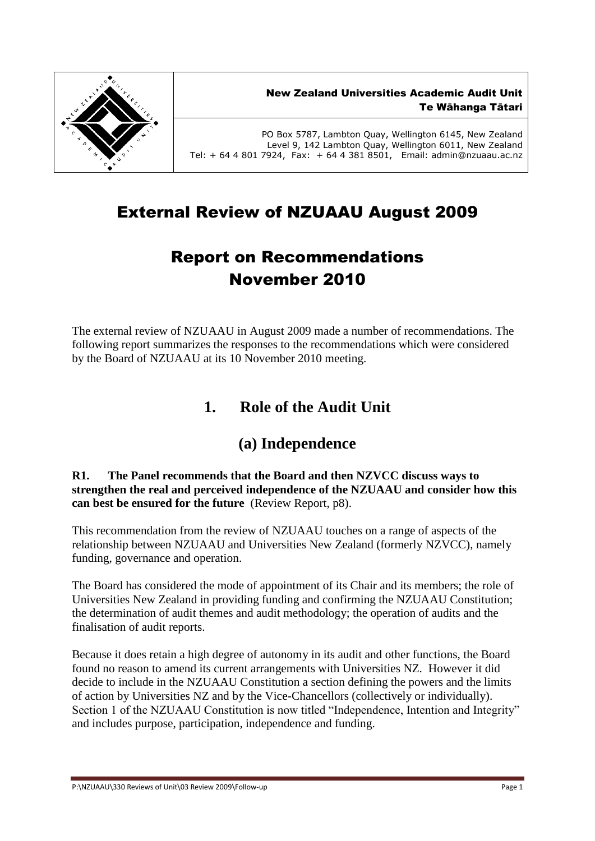

PO Box 5787, Lambton Quay, Wellington 6145, New Zealand Level 9, 142 Lambton Quay, Wellington 6011, New Zealand Tel: + 64 4 801 7924, Fax: + 64 4 381 8501, Email: admin@nzuaau.ac.nz

# External Review of NZUAAU August 2009

# Report on Recommendations November 2010

The external review of NZUAAU in August 2009 made a number of recommendations. The following report summarizes the responses to the recommendations which were considered by the Board of NZUAAU at its 10 November 2010 meeting.

# **1. Role of the Audit Unit**

# **(a) Independence**

#### **R1. The Panel recommends that the Board and then NZVCC discuss ways to strengthen the real and perceived independence of the NZUAAU and consider how this can best be ensured for the future** (Review Report, p8).

This recommendation from the review of NZUAAU touches on a range of aspects of the relationship between NZUAAU and Universities New Zealand (formerly NZVCC), namely funding, governance and operation.

The Board has considered the mode of appointment of its Chair and its members; the role of Universities New Zealand in providing funding and confirming the NZUAAU Constitution; the determination of audit themes and audit methodology; the operation of audits and the finalisation of audit reports.

Because it does retain a high degree of autonomy in its audit and other functions, the Board found no reason to amend its current arrangements with Universities NZ. However it did decide to include in the NZUAAU Constitution a section defining the powers and the limits of action by Universities NZ and by the Vice-Chancellors (collectively or individually). Section 1 of the NZUAAU Constitution is now titled "Independence, Intention and Integrity" and includes purpose, participation, independence and funding.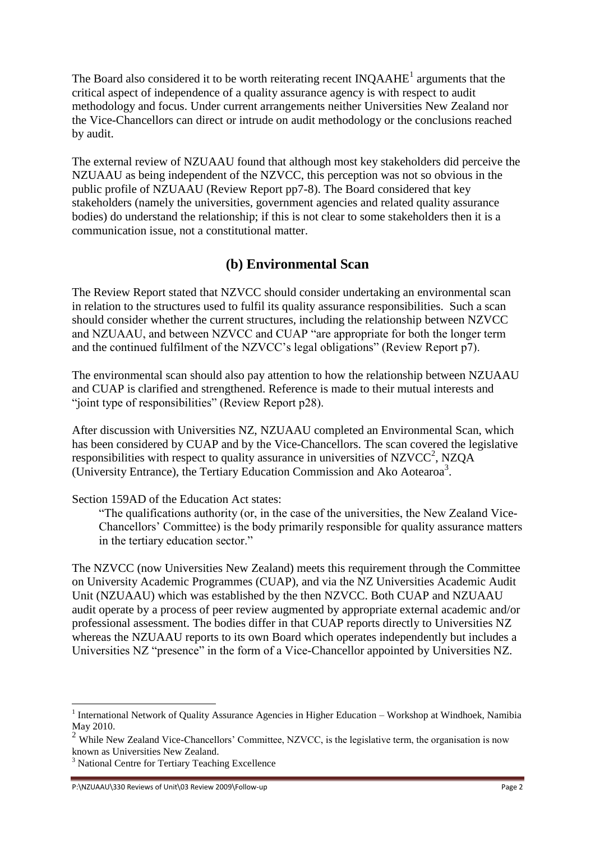The Board also considered it to be worth reiterating recent  $INQAAHE<sup>1</sup>$  arguments that the critical aspect of independence of a quality assurance agency is with respect to audit methodology and focus. Under current arrangements neither Universities New Zealand nor the Vice-Chancellors can direct or intrude on audit methodology or the conclusions reached by audit.

The external review of NZUAAU found that although most key stakeholders did perceive the NZUAAU as being independent of the NZVCC, this perception was not so obvious in the public profile of NZUAAU (Review Report pp7-8). The Board considered that key stakeholders (namely the universities, government agencies and related quality assurance bodies) do understand the relationship; if this is not clear to some stakeholders then it is a communication issue, not a constitutional matter.

## **(b) Environmental Scan**

The Review Report stated that NZVCC should consider undertaking an environmental scan in relation to the structures used to fulfil its quality assurance responsibilities. Such a scan should consider whether the current structures, including the relationship between NZVCC and NZUAAU, and between NZVCC and CUAP "are appropriate for both the longer term and the continued fulfilment of the NZVCC's legal obligations" (Review Report p7).

The environmental scan should also pay attention to how the relationship between NZUAAU and CUAP is clarified and strengthened. Reference is made to their mutual interests and "joint type of responsibilities" (Review Report p28).

After discussion with Universities NZ, NZUAAU completed an Environmental Scan, which has been considered by CUAP and by the Vice-Chancellors. The scan covered the legislative responsibilities with respect to quality assurance in universities of NZVCC<sup>2</sup>, NZQA (University Entrance), the Tertiary Education Commission and Ako Aotearoa<sup>3</sup>.

#### Section 159AD of the Education Act states:

"The qualifications authority (or, in the case of the universities, the New Zealand Vice-Chancellors' Committee) is the body primarily responsible for quality assurance matters in the tertiary education sector."

The NZVCC (now Universities New Zealand) meets this requirement through the Committee on University Academic Programmes (CUAP), and via the NZ Universities Academic Audit Unit (NZUAAU) which was established by the then NZVCC. Both CUAP and NZUAAU audit operate by a process of peer review augmented by appropriate external academic and/or professional assessment. The bodies differ in that CUAP reports directly to Universities NZ whereas the NZUAAU reports to its own Board which operates independently but includes a Universities NZ "presence" in the form of a Vice-Chancellor appointed by Universities NZ.

P:\NZUAAU\330 Reviews of Unit\03 Review 2009\Follow-up Page 2

<u>.</u>

<sup>&</sup>lt;sup>1</sup> International Network of Quality Assurance Agencies in Higher Education – Workshop at Windhoek, Namibia May 2010.

<sup>&</sup>lt;sup>2</sup> While New Zealand Vice-Chancellors' Committee, NZVCC, is the legislative term, the organisation is now known as Universities New Zealand.

<sup>&</sup>lt;sup>3</sup> National Centre for Tertiary Teaching Excellence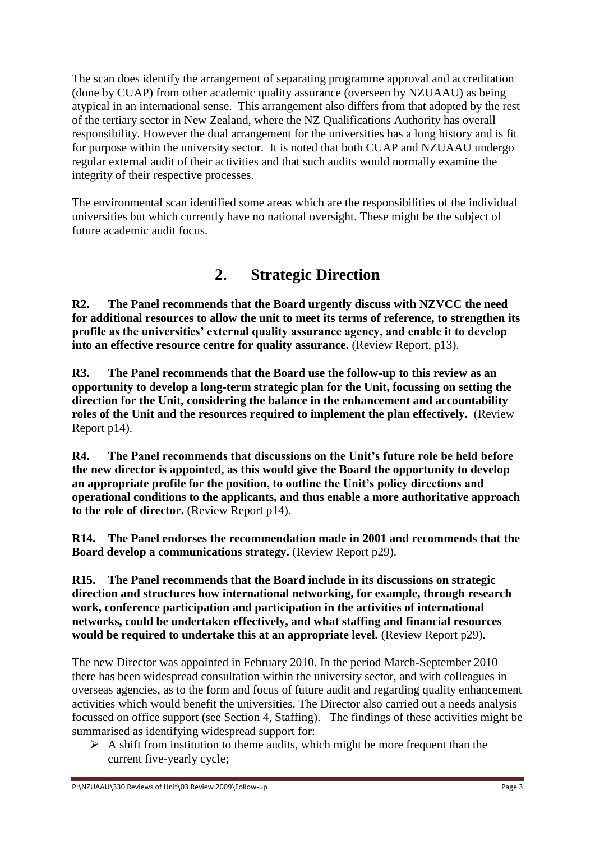The scan does identify the arrangement of separating programme approval and accreditation (done by CUAP) from other academic quality assurance (overseen by NZUAAU) as being atypical in an international sense. This arrangement also differs from that adopted by the rest of the tertiary sector in New Zealand, where the NZ Qualifications Authority has overall responsibility. However the dual arrangement for the universities has a long history and is fit for purpose within the university sector. It is noted that both CUAP and NZUAAU undergo regular external audit of their activities and that such audits would normally examine the integrity of their respective processes.

The environmental scan identified some areas which are the responsibilities of the individual universities but which currently have no national oversight. These might be the subject of future academic audit focus.

# **2. Strategic Direction**

**R2. The Panel recommends that the Board urgently discuss with NZVCC the need for additional resources to allow the unit to meet its terms of reference, to strengthen its profile as the universities' external quality assurance agency, and enable it to develop into an effective resource centre for quality assurance.** (Review Report, p13).

**R3. The Panel recommends that the Board use the follow-up to this review as an opportunity to develop a long-term strategic plan for the Unit, focussing on setting the direction for the Unit, considering the balance in the enhancement and accountability roles of the Unit and the resources required to implement the plan effectively.** (Review Report p14).

**R4. The Panel recommends that discussions on the Unit's future role be held before the new director is appointed, as this would give the Board the opportunity to develop an appropriate profile for the position, to outline the Unit's policy directions and operational conditions to the applicants, and thus enable a more authoritative approach to the role of director.** (Review Report p14).

**R14. The Panel endorses the recommendation made in 2001 and recommends that the Board develop a communications strategy.** (Review Report p29).

**R15. The Panel recommends that the Board include in its discussions on strategic direction and structures how international networking, for example, through research work, conference participation and participation in the activities of international networks, could be undertaken effectively, and what staffing and financial resources would be required to undertake this at an appropriate level.** (Review Report p29).

The new Director was appointed in February 2010. In the period March-September 2010 there has been widespread consultation within the university sector, and with colleagues in overseas agencies, as to the form and focus of future audit and regarding quality enhancement activities which would benefit the universities. The Director also carried out a needs analysis focussed on office support (see Section 4, Staffing). The findings of these activities might be summarised as identifying widespread support for:

 $\triangleright$  A shift from institution to theme audits, which might be more frequent than the current five-yearly cycle;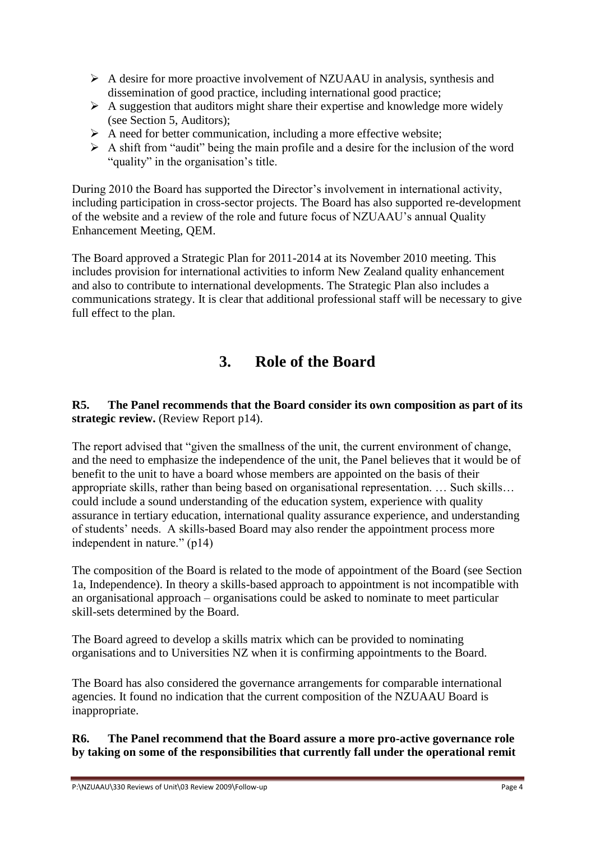- $\triangleright$  A desire for more proactive involvement of NZUAAU in analysis, synthesis and dissemination of good practice, including international good practice;
- $\triangleright$  A suggestion that auditors might share their expertise and knowledge more widely (see Section 5, Auditors);
- $\triangleright$  A need for better communication, including a more effective website;
- $\triangleright$  A shift from "audit" being the main profile and a desire for the inclusion of the word "quality" in the organisation's title.

During 2010 the Board has supported the Director's involvement in international activity, including participation in cross-sector projects. The Board has also supported re-development of the website and a review of the role and future focus of NZUAAU's annual Quality Enhancement Meeting, QEM.

The Board approved a Strategic Plan for 2011-2014 at its November 2010 meeting. This includes provision for international activities to inform New Zealand quality enhancement and also to contribute to international developments. The Strategic Plan also includes a communications strategy. It is clear that additional professional staff will be necessary to give full effect to the plan.

# **3. Role of the Board**

### **R5. The Panel recommends that the Board consider its own composition as part of its strategic review.** (Review Report p14).

The report advised that "given the smallness of the unit, the current environment of change, and the need to emphasize the independence of the unit, the Panel believes that it would be of benefit to the unit to have a board whose members are appointed on the basis of their appropriate skills, rather than being based on organisational representation. … Such skills… could include a sound understanding of the education system, experience with quality assurance in tertiary education, international quality assurance experience, and understanding of students' needs. A skills-based Board may also render the appointment process more independent in nature." (p14)

The composition of the Board is related to the mode of appointment of the Board (see Section 1a, Independence). In theory a skills-based approach to appointment is not incompatible with an organisational approach – organisations could be asked to nominate to meet particular skill-sets determined by the Board.

The Board agreed to develop a skills matrix which can be provided to nominating organisations and to Universities NZ when it is confirming appointments to the Board.

The Board has also considered the governance arrangements for comparable international agencies. It found no indication that the current composition of the NZUAAU Board is inappropriate.

### **R6. The Panel recommend that the Board assure a more pro-active governance role by taking on some of the responsibilities that currently fall under the operational remit**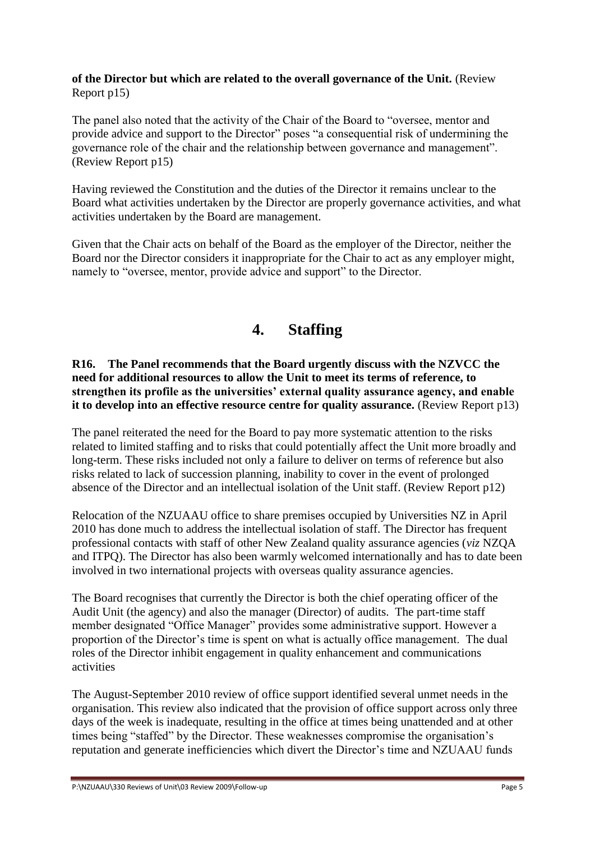#### **of the Director but which are related to the overall governance of the Unit.** (Review Report p15)

The panel also noted that the activity of the Chair of the Board to "oversee, mentor and provide advice and support to the Director" poses "a consequential risk of undermining the governance role of the chair and the relationship between governance and management". (Review Report p15)

Having reviewed the Constitution and the duties of the Director it remains unclear to the Board what activities undertaken by the Director are properly governance activities, and what activities undertaken by the Board are management.

Given that the Chair acts on behalf of the Board as the employer of the Director, neither the Board nor the Director considers it inappropriate for the Chair to act as any employer might, namely to "oversee, mentor, provide advice and support" to the Director.

# **4. Staffing**

**R16. The Panel recommends that the Board urgently discuss with the NZVCC the need for additional resources to allow the Unit to meet its terms of reference, to strengthen its profile as the universities' external quality assurance agency, and enable it to develop into an effective resource centre for quality assurance.** (Review Report p13)

The panel reiterated the need for the Board to pay more systematic attention to the risks related to limited staffing and to risks that could potentially affect the Unit more broadly and long-term. These risks included not only a failure to deliver on terms of reference but also risks related to lack of succession planning, inability to cover in the event of prolonged absence of the Director and an intellectual isolation of the Unit staff. (Review Report p12)

Relocation of the NZUAAU office to share premises occupied by Universities NZ in April 2010 has done much to address the intellectual isolation of staff. The Director has frequent professional contacts with staff of other New Zealand quality assurance agencies (*viz* NZQA and ITPQ). The Director has also been warmly welcomed internationally and has to date been involved in two international projects with overseas quality assurance agencies.

The Board recognises that currently the Director is both the chief operating officer of the Audit Unit (the agency) and also the manager (Director) of audits. The part-time staff member designated "Office Manager" provides some administrative support. However a proportion of the Director's time is spent on what is actually office management. The dual roles of the Director inhibit engagement in quality enhancement and communications activities

The August-September 2010 review of office support identified several unmet needs in the organisation. This review also indicated that the provision of office support across only three days of the week is inadequate, resulting in the office at times being unattended and at other times being "staffed" by the Director. These weaknesses compromise the organisation's reputation and generate inefficiencies which divert the Director's time and NZUAAU funds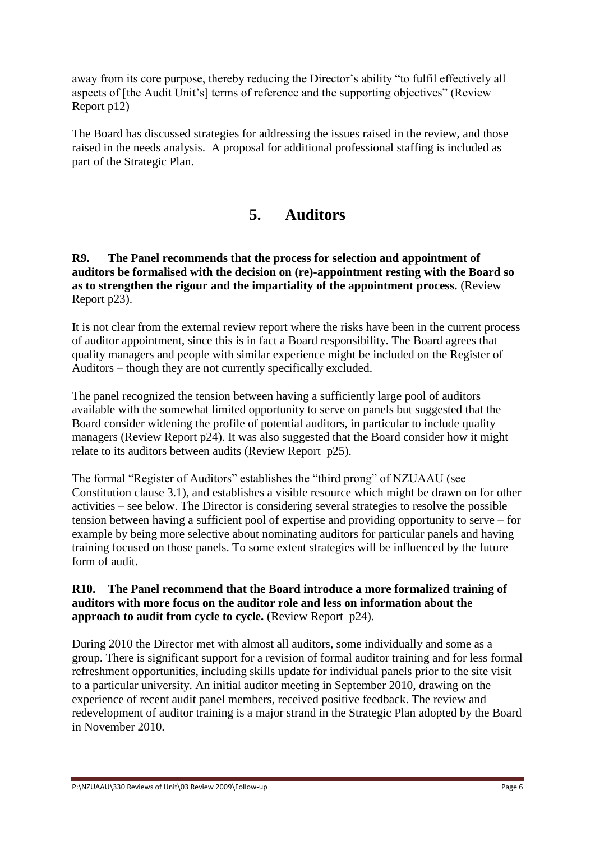away from its core purpose, thereby reducing the Director's ability "to fulfil effectively all aspects of [the Audit Unit's] terms of reference and the supporting objectives" (Review Report p12)

The Board has discussed strategies for addressing the issues raised in the review, and those raised in the needs analysis. A proposal for additional professional staffing is included as part of the Strategic Plan.

## **5. Auditors**

**R9. The Panel recommends that the process for selection and appointment of auditors be formalised with the decision on (re)-appointment resting with the Board so as to strengthen the rigour and the impartiality of the appointment process.** (Review Report p23).

It is not clear from the external review report where the risks have been in the current process of auditor appointment, since this is in fact a Board responsibility. The Board agrees that quality managers and people with similar experience might be included on the Register of Auditors – though they are not currently specifically excluded.

The panel recognized the tension between having a sufficiently large pool of auditors available with the somewhat limited opportunity to serve on panels but suggested that the Board consider widening the profile of potential auditors, in particular to include quality managers (Review Report p24). It was also suggested that the Board consider how it might relate to its auditors between audits (Review Report p25).

The formal "Register of Auditors" establishes the "third prong" of NZUAAU (see Constitution clause 3.1), and establishes a visible resource which might be drawn on for other activities – see below. The Director is considering several strategies to resolve the possible tension between having a sufficient pool of expertise and providing opportunity to serve – for example by being more selective about nominating auditors for particular panels and having training focused on those panels. To some extent strategies will be influenced by the future form of audit.

#### **R10. The Panel recommend that the Board introduce a more formalized training of auditors with more focus on the auditor role and less on information about the approach to audit from cycle to cycle.** (Review Report p24).

During 2010 the Director met with almost all auditors, some individually and some as a group. There is significant support for a revision of formal auditor training and for less formal refreshment opportunities, including skills update for individual panels prior to the site visit to a particular university. An initial auditor meeting in September 2010, drawing on the experience of recent audit panel members, received positive feedback. The review and redevelopment of auditor training is a major strand in the Strategic Plan adopted by the Board in November 2010.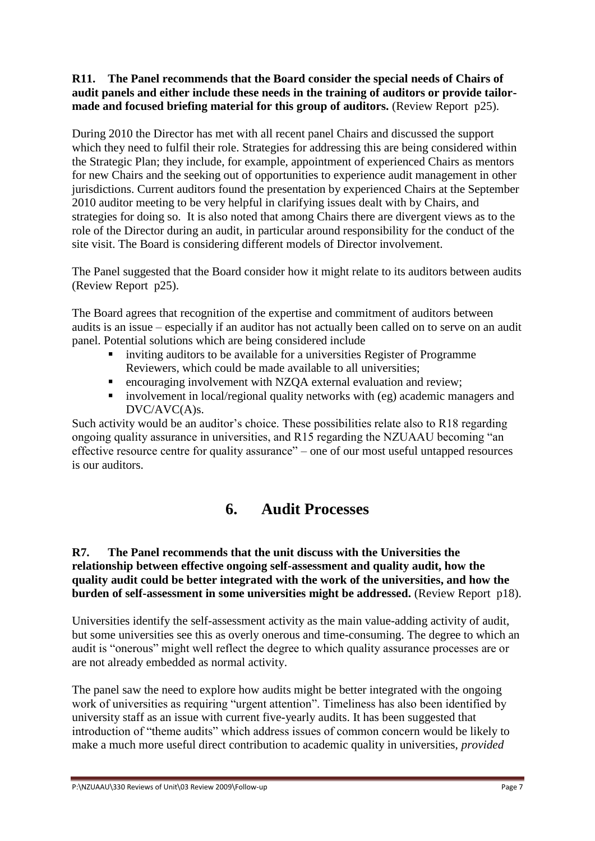#### **R11. The Panel recommends that the Board consider the special needs of Chairs of audit panels and either include these needs in the training of auditors or provide tailormade and focused briefing material for this group of auditors.** (Review Report p25).

During 2010 the Director has met with all recent panel Chairs and discussed the support which they need to fulfil their role. Strategies for addressing this are being considered within the Strategic Plan; they include, for example, appointment of experienced Chairs as mentors for new Chairs and the seeking out of opportunities to experience audit management in other jurisdictions. Current auditors found the presentation by experienced Chairs at the September 2010 auditor meeting to be very helpful in clarifying issues dealt with by Chairs, and strategies for doing so. It is also noted that among Chairs there are divergent views as to the role of the Director during an audit, in particular around responsibility for the conduct of the site visit. The Board is considering different models of Director involvement.

The Panel suggested that the Board consider how it might relate to its auditors between audits (Review Report p25).

The Board agrees that recognition of the expertise and commitment of auditors between audits is an issue – especially if an auditor has not actually been called on to serve on an audit panel. Potential solutions which are being considered include

- inviting auditors to be available for a universities Register of Programme Reviewers, which could be made available to all universities;
- encouraging involvement with NZQA external evaluation and review;
- involvement in local/regional quality networks with (eg) academic managers and DVC/AVC(A)s.

Such activity would be an auditor's choice. These possibilities relate also to R18 regarding ongoing quality assurance in universities, and R15 regarding the NZUAAU becoming "an effective resource centre for quality assurance" – one of our most useful untapped resources is our auditors.

# **6. Audit Processes**

#### **R7. The Panel recommends that the unit discuss with the Universities the relationship between effective ongoing self-assessment and quality audit, how the quality audit could be better integrated with the work of the universities, and how the burden of self-assessment in some universities might be addressed.** (Review Report p18).

Universities identify the self-assessment activity as the main value-adding activity of audit, but some universities see this as overly onerous and time-consuming. The degree to which an audit is "onerous" might well reflect the degree to which quality assurance processes are or are not already embedded as normal activity.

The panel saw the need to explore how audits might be better integrated with the ongoing work of universities as requiring "urgent attention". Timeliness has also been identified by university staff as an issue with current five-yearly audits. It has been suggested that introduction of "theme audits" which address issues of common concern would be likely to make a much more useful direct contribution to academic quality in universities, *provided*